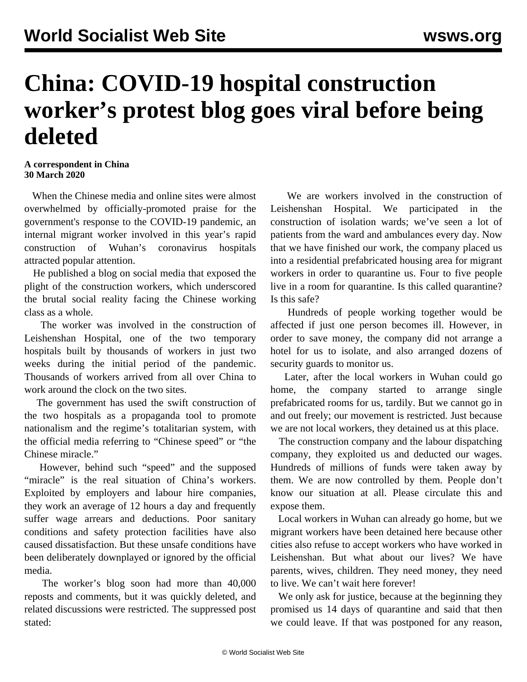## **China: COVID-19 hospital construction worker's protest blog goes viral before being deleted**

## **A correspondent in China 30 March 2020**

 When the Chinese media and online sites were almost overwhelmed by officially-promoted praise for the government's response to the COVID-19 pandemic, an internal migrant worker involved in this year's rapid construction of Wuhan's coronavirus hospitals attracted popular attention.

 He published a blog on social media that exposed the plight of the construction workers, which underscored the brutal social reality facing the Chinese working class as a whole.

 The worker was involved in the construction of Leishenshan Hospital, one of the two temporary hospitals built by thousands of workers in just two weeks during the initial period of the pandemic. Thousands of workers arrived from all over China to work around the clock on the two sites.

 The government has used the swift construction of the two hospitals as a propaganda tool to promote nationalism and the regime's totalitarian system, with the official media referring to "Chinese speed" or "the Chinese miracle."

 However, behind such "speed" and the supposed "miracle" is the real situation of China's workers. Exploited by employers and labour hire companies, they work an average of 12 hours a day and frequently suffer wage arrears and deductions. Poor sanitary conditions and safety protection facilities have also caused dissatisfaction. But these unsafe conditions have been deliberately downplayed or ignored by the official media.

 The worker's blog soon had more than 40,000 reposts and comments, but it was quickly deleted, and related discussions were restricted. The suppressed post stated:

 We are workers involved in the construction of Leishenshan Hospital. We participated in the construction of isolation wards; we've seen a lot of patients from the ward and ambulances every day. Now that we have finished our work, the company placed us into a residential prefabricated housing area for migrant workers in order to quarantine us. Four to five people live in a room for quarantine. Is this called quarantine? Is this safe?

 Hundreds of people working together would be affected if just one person becomes ill. However, in order to save money, the company did not arrange a hotel for us to isolate, and also arranged dozens of security guards to monitor us.

 Later, after the local workers in Wuhan could go home, the company started to arrange single prefabricated rooms for us, tardily. But we cannot go in and out freely; our movement is restricted. Just because we are not local workers, they detained us at this place.

 The construction company and the labour dispatching company, they exploited us and deducted our wages. Hundreds of millions of funds were taken away by them. We are now controlled by them. People don't know our situation at all. Please circulate this and expose them.

 Local workers in Wuhan can already go home, but we migrant workers have been detained here because other cities also refuse to accept workers who have worked in Leishenshan. But what about our lives? We have parents, wives, children. They need money, they need to live. We can't wait here forever!

 We only ask for justice, because at the beginning they promised us 14 days of quarantine and said that then we could leave. If that was postponed for any reason,